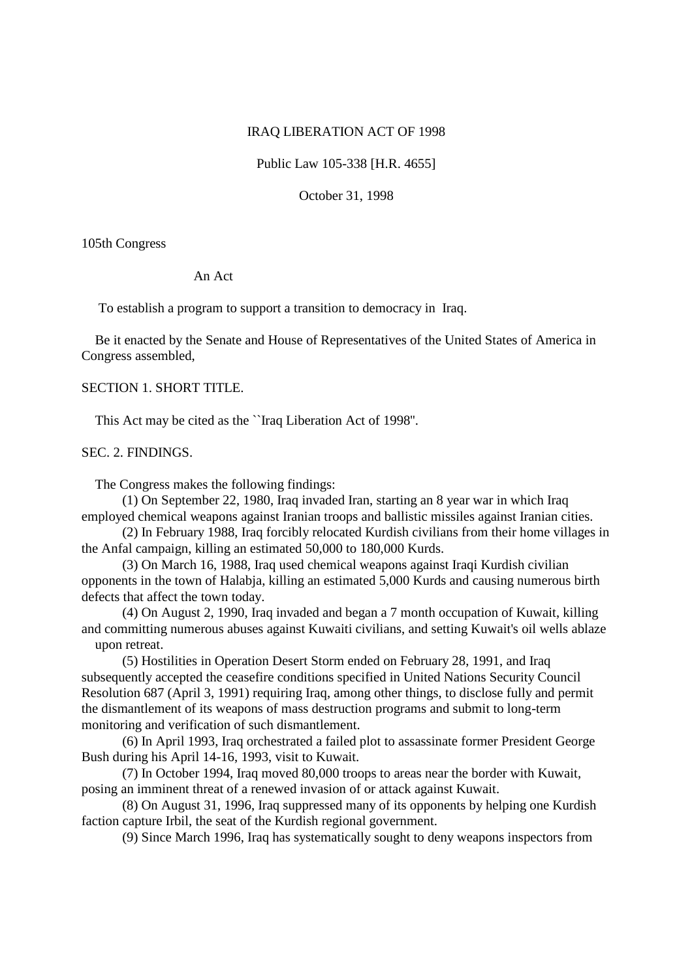### IRAQ LIBERATION ACT OF 1998

Public Law 105-338 [H.R. 4655]

October 31, 1998

105th Congress

#### An Act

To establish a program to support a transition to democracy in Iraq.

Be it enacted by the Senate and House of Representatives of the United States of America in Congress assembled,

# SECTION 1. SHORT TITLE.

This Act may be cited as the ``Iraq Liberation Act of 1998''.

# SEC. 2. FINDINGS.

The Congress makes the following findings:

(1) On September 22, 1980, Iraq invaded Iran, starting an 8 year war in which Iraq employed chemical weapons against Iranian troops and ballistic missiles against Iranian cities.

(2) In February 1988, Iraq forcibly relocated Kurdish civilians from their home villages in the Anfal campaign, killing an estimated 50,000 to 180,000 Kurds.

(3) On March 16, 1988, Iraq used chemical weapons against Iraqi Kurdish civilian opponents in the town of Halabja, killing an estimated 5,000 Kurds and causing numerous birth defects that affect the town today.

(4) On August 2, 1990, Iraq invaded and began a 7 month occupation of Kuwait, killing and committing numerous abuses against Kuwaiti civilians, and setting Kuwait's oil wells ablaze upon retreat.

(5) Hostilities in Operation Desert Storm ended on February 28, 1991, and Iraq subsequently accepted the ceasefire conditions specified in United Nations Security Council Resolution 687 (April 3, 1991) requiring Iraq, among other things, to disclose fully and permit the dismantlement of its weapons of mass destruction programs and submit to long-term monitoring and verification of such dismantlement.

(6) In April 1993, Iraq orchestrated a failed plot to assassinate former President George Bush during his April 14-16, 1993, visit to Kuwait.

(7) In October 1994, Iraq moved 80,000 troops to areas near the border with Kuwait, posing an imminent threat of a renewed invasion of or attack against Kuwait.

(8) On August 31, 1996, Iraq suppressed many of its opponents by helping one Kurdish faction capture Irbil, the seat of the Kurdish regional government.

(9) Since March 1996, Iraq has systematically sought to deny weapons inspectors from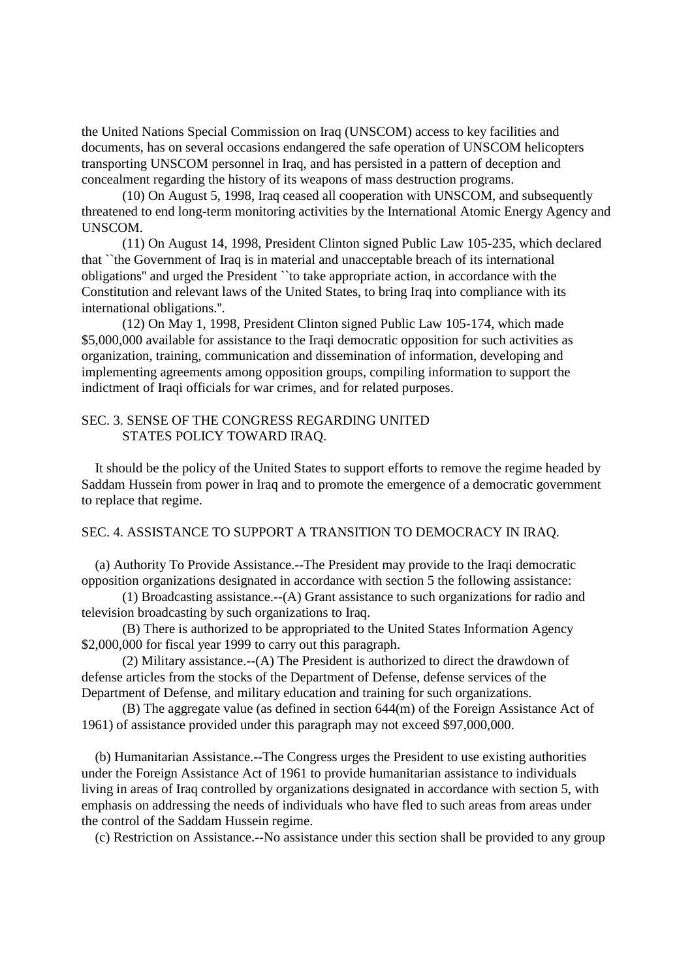the United Nations Special Commission on Iraq (UNSCOM) access to key facilities and documents, has on several occasions endangered the safe operation of UNSCOM helicopters transporting UNSCOM personnel in Iraq, and has persisted in a pattern of deception and concealment regarding the history of its weapons of mass destruction programs.

(10) On August 5, 1998, Iraq ceased all cooperation with UNSCOM, and subsequently threatened to end long-term monitoring activities by the International Atomic Energy Agency and UNSCOM.

(11) On August 14, 1998, President Clinton signed Public Law 105-235, which declared that ``the Government of Iraq is in material and unacceptable breach of its international obligations'' and urged the President ``to take appropriate action, in accordance with the Constitution and relevant laws of the United States, to bring Iraq into compliance with its international obligations.''.

(12) On May 1, 1998, President Clinton signed Public Law 105-174, which made \$5,000,000 available for assistance to the Iraqi democratic opposition for such activities as organization, training, communication and dissemination of information, developing and implementing agreements among opposition groups, compiling information to support the indictment of Iraqi officials for war crimes, and for related purposes.

### SEC. 3. SENSE OF THE CONGRESS REGARDING UNITED STATES POLICY TOWARD IRAQ.

It should be the policy of the United States to support efforts to remove the regime headed by Saddam Hussein from power in Iraq and to promote the emergence of a democratic government to replace that regime.

### SEC. 4. ASSISTANCE TO SUPPORT A TRANSITION TO DEMOCRACY IN IRAQ.

(a) Authority To Provide Assistance.--The President may provide to the Iraqi democratic opposition organizations designated in accordance with section 5 the following assistance:

(1) Broadcasting assistance.--(A) Grant assistance to such organizations for radio and television broadcasting by such organizations to Iraq.

(B) There is authorized to be appropriated to the United States Information Agency \$2,000,000 for fiscal year 1999 to carry out this paragraph.

(2) Military assistance.--(A) The President is authorized to direct the drawdown of defense articles from the stocks of the Department of Defense, defense services of the Department of Defense, and military education and training for such organizations.

(B) The aggregate value (as defined in section 644(m) of the Foreign Assistance Act of 1961) of assistance provided under this paragraph may not exceed \$97,000,000.

(b) Humanitarian Assistance.--The Congress urges the President to use existing authorities under the Foreign Assistance Act of 1961 to provide humanitarian assistance to individuals living in areas of Iraq controlled by organizations designated in accordance with section 5, with emphasis on addressing the needs of individuals who have fled to such areas from areas under the control of the Saddam Hussein regime.

(c) Restriction on Assistance.--No assistance under this section shall be provided to any group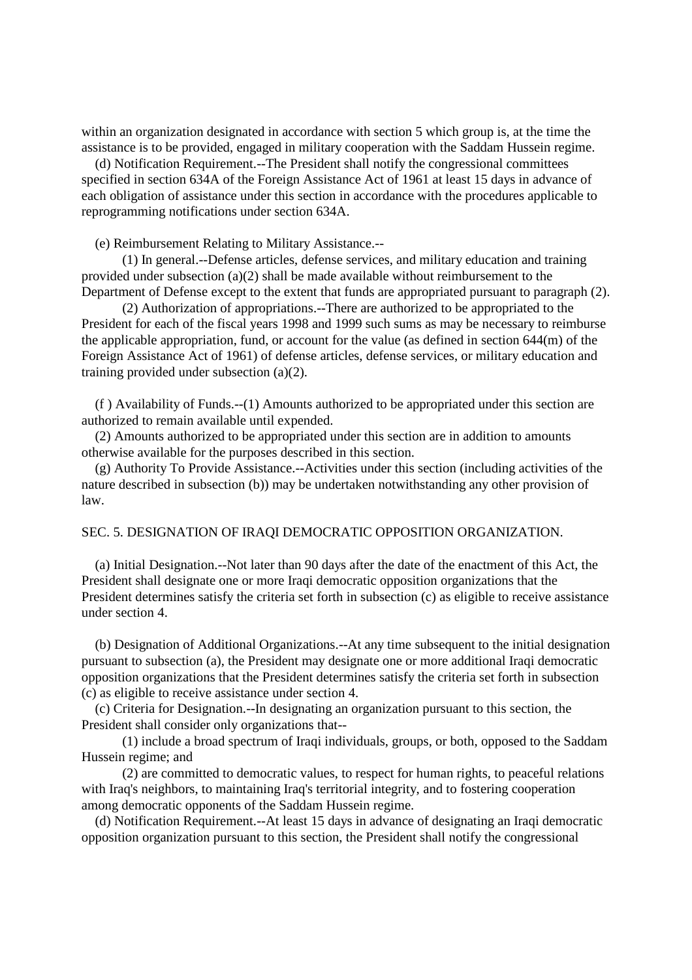within an organization designated in accordance with section 5 which group is, at the time the assistance is to be provided, engaged in military cooperation with the Saddam Hussein regime.

(d) Notification Requirement.--The President shall notify the congressional committees specified in section 634A of the Foreign Assistance Act of 1961 at least 15 days in advance of each obligation of assistance under this section in accordance with the procedures applicable to reprogramming notifications under section 634A.

(e) Reimbursement Relating to Military Assistance.--

(1) In general.--Defense articles, defense services, and military education and training provided under subsection (a)(2) shall be made available without reimbursement to the Department of Defense except to the extent that funds are appropriated pursuant to paragraph (2).

(2) Authorization of appropriations.--There are authorized to be appropriated to the President for each of the fiscal years 1998 and 1999 such sums as may be necessary to reimburse the applicable appropriation, fund, or account for the value (as defined in section 644(m) of the Foreign Assistance Act of 1961) of defense articles, defense services, or military education and training provided under subsection (a)(2).

(f ) Availability of Funds.--(1) Amounts authorized to be appropriated under this section are authorized to remain available until expended.

(2) Amounts authorized to be appropriated under this section are in addition to amounts otherwise available for the purposes described in this section.

(g) Authority To Provide Assistance.--Activities under this section (including activities of the nature described in subsection (b)) may be undertaken notwithstanding any other provision of law.

### SEC. 5. DESIGNATION OF IRAQI DEMOCRATIC OPPOSITION ORGANIZATION.

(a) Initial Designation.--Not later than 90 days after the date of the enactment of this Act, the President shall designate one or more Iraqi democratic opposition organizations that the President determines satisfy the criteria set forth in subsection (c) as eligible to receive assistance under section 4.

(b) Designation of Additional Organizations.--At any time subsequent to the initial designation pursuant to subsection (a), the President may designate one or more additional Iraqi democratic opposition organizations that the President determines satisfy the criteria set forth in subsection (c) as eligible to receive assistance under section 4.

(c) Criteria for Designation.--In designating an organization pursuant to this section, the President shall consider only organizations that--

(1) include a broad spectrum of Iraqi individuals, groups, or both, opposed to the Saddam Hussein regime; and

(2) are committed to democratic values, to respect for human rights, to peaceful relations with Iraq's neighbors, to maintaining Iraq's territorial integrity, and to fostering cooperation among democratic opponents of the Saddam Hussein regime.

(d) Notification Requirement.--At least 15 days in advance of designating an Iraqi democratic opposition organization pursuant to this section, the President shall notify the congressional